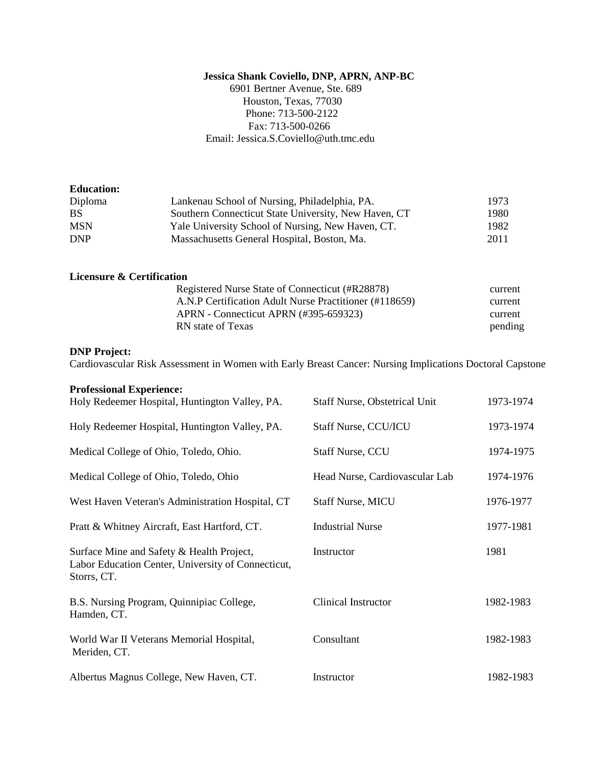# **Jessica Shank Coviello, DNP, APRN, ANP-BC**

 6901 Bertner Avenue, Ste. 689 Houston, Texas, 77030 Phone: 713-500-2122 Fax: 713-500-0266 Email: Jessica.S.Coviello@uth.tmc.edu

| <b>Education:</b>                    |                                                        |         |
|--------------------------------------|--------------------------------------------------------|---------|
| Diploma                              | Lankenau School of Nursing, Philadelphia, PA.          | 1973    |
| <b>BS</b>                            | Southern Connecticut State University, New Haven, CT   | 1980    |
| <b>MSN</b>                           | Yale University School of Nursing, New Haven, CT.      | 1982    |
| <b>DNP</b>                           | Massachusetts General Hospital, Boston, Ma.            | 2011    |
| <b>Licensure &amp; Certification</b> |                                                        |         |
|                                      | Registered Nurse State of Connecticut (#R28878)        | current |
|                                      | A.N.P Certification Adult Nurse Practitioner (#118659) | current |

# **DNP Project:**

Cardiovascular Risk Assessment in Women with Early Breast Cancer: Nursing Implications Doctoral Capstone

 APRN - Connecticut APRN (#395-659323) current RN state of Texas pending

#### **Professional Experience:**

| Holy Redeemer Hospital, Huntington Valley, PA.                                                                 | <b>Staff Nurse, Obstetrical Unit</b> | 1973-1974 |
|----------------------------------------------------------------------------------------------------------------|--------------------------------------|-----------|
| Holy Redeemer Hospital, Huntington Valley, PA.                                                                 | Staff Nurse, CCU/ICU                 | 1973-1974 |
| Medical College of Ohio, Toledo, Ohio.                                                                         | <b>Staff Nurse, CCU</b>              | 1974-1975 |
| Medical College of Ohio, Toledo, Ohio                                                                          | Head Nurse, Cardiovascular Lab       | 1974-1976 |
| West Haven Veteran's Administration Hospital, CT                                                               | <b>Staff Nurse, MICU</b>             | 1976-1977 |
| Pratt & Whitney Aircraft, East Hartford, CT.                                                                   | <b>Industrial Nurse</b>              | 1977-1981 |
| Surface Mine and Safety & Health Project,<br>Labor Education Center, University of Connecticut,<br>Storrs, CT. | Instructor                           | 1981      |
| B.S. Nursing Program, Quinnipiac College,<br>Hamden, CT.                                                       | Clinical Instructor                  | 1982-1983 |
| World War II Veterans Memorial Hospital,<br>Meriden, CT.                                                       | Consultant                           | 1982-1983 |
| Albertus Magnus College, New Haven, CT.                                                                        | Instructor                           | 1982-1983 |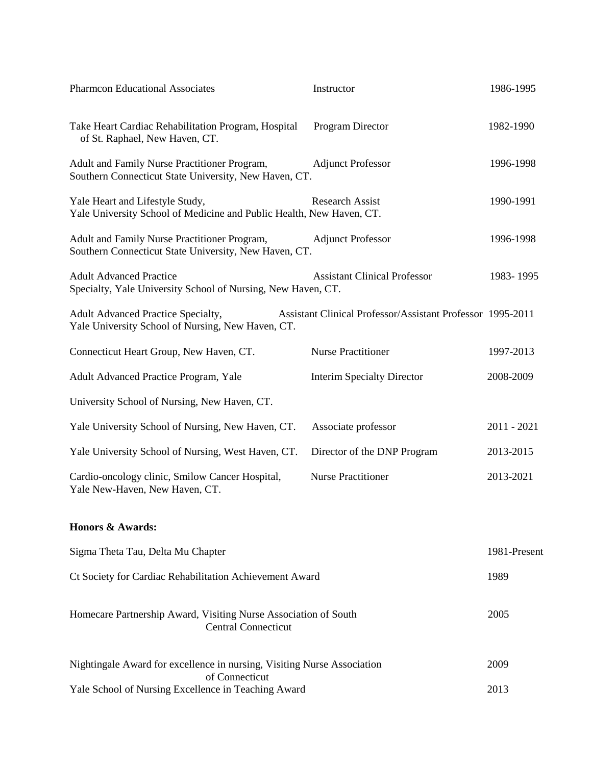| <b>Pharmcon Educational Associates</b>                                                                  | Instructor                                                 | 1986-1995    |
|---------------------------------------------------------------------------------------------------------|------------------------------------------------------------|--------------|
| Take Heart Cardiac Rehabilitation Program, Hospital<br>of St. Raphael, New Haven, CT.                   | Program Director                                           | 1982-1990    |
| Adult and Family Nurse Practitioner Program,<br>Southern Connecticut State University, New Haven, CT.   | <b>Adjunct Professor</b>                                   | 1996-1998    |
| Yale Heart and Lifestyle Study,<br>Yale University School of Medicine and Public Health, New Haven, CT. | <b>Research Assist</b>                                     | 1990-1991    |
| Adult and Family Nurse Practitioner Program,<br>Southern Connecticut State University, New Haven, CT.   | <b>Adjunct Professor</b>                                   | 1996-1998    |
| <b>Adult Advanced Practice</b><br>Specialty, Yale University School of Nursing, New Haven, CT.          | <b>Assistant Clinical Professor</b>                        | 1983-1995    |
| Adult Advanced Practice Specialty,<br>Yale University School of Nursing, New Haven, CT.                 | Assistant Clinical Professor/Assistant Professor 1995-2011 |              |
| Connecticut Heart Group, New Haven, CT.                                                                 | <b>Nurse Practitioner</b>                                  | 1997-2013    |
| Adult Advanced Practice Program, Yale                                                                   | Interim Specialty Director                                 | 2008-2009    |
| University School of Nursing, New Haven, CT.                                                            |                                                            |              |
| Yale University School of Nursing, New Haven, CT.                                                       | Associate professor                                        | 2011 - 2021  |
| Yale University School of Nursing, West Haven, CT.                                                      | Director of the DNP Program                                | 2013-2015    |
| Cardio-oncology clinic, Smilow Cancer Hospital,<br>Yale New-Haven, New Haven, CT.                       | <b>Nurse Practitioner</b>                                  | 2013-2021    |
| <b>Honors &amp; Awards:</b>                                                                             |                                                            |              |
| Sigma Theta Tau, Delta Mu Chapter                                                                       |                                                            | 1981-Present |
| Ct Society for Cardiac Rehabilitation Achievement Award                                                 |                                                            |              |
| Homecare Partnership Award, Visiting Nurse Association of South<br><b>Central Connecticut</b>           |                                                            | 2005         |
| Nightingale Award for excellence in nursing, Visiting Nurse Association<br>of Connecticut               |                                                            | 2009         |
| Yale School of Nursing Excellence in Teaching Award<br>2013                                             |                                                            |              |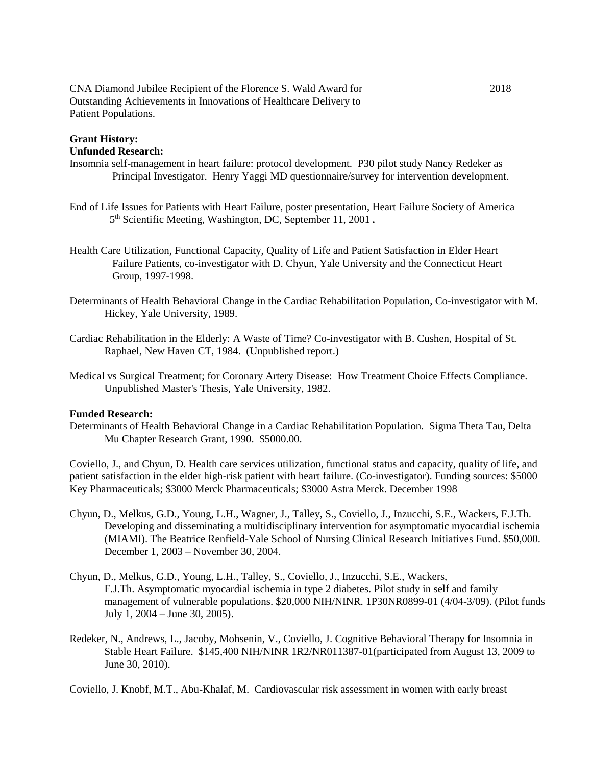CNA Diamond Jubilee Recipient of the Florence S. Wald Award for 2018 Outstanding Achievements in Innovations of Healthcare Delivery to Patient Populations.

#### **Grant History: Unfunded Research:**

Insomnia self-management in heart failure: protocol development. P30 pilot study Nancy Redeker as Principal Investigator. Henry Yaggi MD questionnaire/survey for intervention development.

- End of Life Issues for Patients with Heart Failure, poster presentation, Heart Failure Society of America 5<sup>th</sup> Scientific Meeting, Washington, DC, September 11, 2001.
- Health Care Utilization, Functional Capacity, Quality of Life and Patient Satisfaction in Elder Heart Failure Patients, co-investigator with D. Chyun, Yale University and the Connecticut Heart Group, 1997-1998.
- Determinants of Health Behavioral Change in the Cardiac Rehabilitation Population, Co-investigator with M. Hickey, Yale University, 1989.
- Cardiac Rehabilitation in the Elderly: A Waste of Time? Co-investigator with B. Cushen, Hospital of St. Raphael, New Haven CT, 1984. (Unpublished report.)
- Medical vs Surgical Treatment; for Coronary Artery Disease: How Treatment Choice Effects Compliance. Unpublished Master's Thesis, Yale University, 1982.

# **Funded Research:**

Determinants of Health Behavioral Change in a Cardiac Rehabilitation Population. Sigma Theta Tau, Delta Mu Chapter Research Grant, 1990. \$5000.00.

Coviello, J., and Chyun, D. Health care services utilization, functional status and capacity, quality of life, and patient satisfaction in the elder high-risk patient with heart failure. (Co-investigator). Funding sources: \$5000 Key Pharmaceuticals; \$3000 Merck Pharmaceuticals; \$3000 Astra Merck. December 1998

- Chyun, D., Melkus, G.D., Young, L.H., Wagner, J., Talley, S., Coviello, J., Inzucchi, S.E., Wackers, F.J.Th. Developing and disseminating a multidisciplinary intervention for asymptomatic myocardial ischemia (MIAMI). The Beatrice Renfield-Yale School of Nursing Clinical Research Initiatives Fund. \$50,000. December 1, 2003 – November 30, 2004.
- Chyun, D., Melkus, G.D., Young, L.H., Talley, S., Coviello, J., Inzucchi, S.E., Wackers, F.J.Th. Asymptomatic myocardial ischemia in type 2 diabetes. Pilot study in self and family management of vulnerable populations. \$20,000 NIH/NINR. 1P30NR0899-01 (4/04-3/09). (Pilot funds July 1, 2004 – June 30, 2005).
- Redeker, N., Andrews, L., Jacoby, Mohsenin, V., Coviello, J. Cognitive Behavioral Therapy for Insomnia in Stable Heart Failure. \$145,400 NIH/NINR 1R2/NR011387-01(participated from August 13, 2009 to June 30, 2010).

Coviello, J. Knobf, M.T., Abu-Khalaf, M. Cardiovascular risk assessment in women with early breast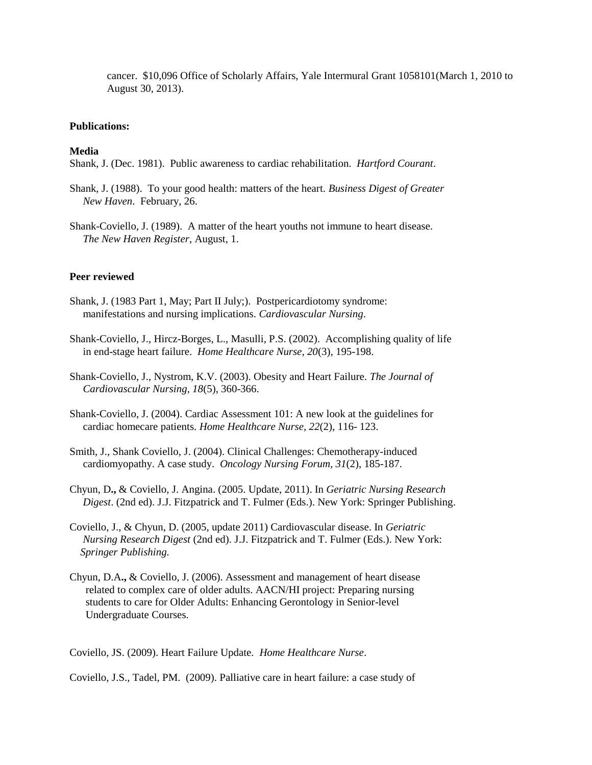cancer. \$10,096 Office of Scholarly Affairs, Yale Intermural Grant 1058101(March 1, 2010 to August 30, 2013).

#### **Publications:**

#### **Media**

Shank, J. (Dec. 1981). Public awareness to cardiac rehabilitation. *Hartford Courant*.

- Shank, J. (1988). To your good health: matters of the heart. *Business Digest of Greater New Haven*. February, 26.
- Shank-Coviello, J. (1989). A matter of the heart youths not immune to heart disease. *The New Haven Register*, August, 1.

# **Peer reviewed**

- Shank, J. (1983 Part 1, May; Part II July;). Postpericardiotomy syndrome: manifestations and nursing implications. *Cardiovascular Nursing*.
- Shank-Coviello, J., Hircz-Borges, L., Masulli, P.S. (2002). Accomplishing quality of life in end-stage heart failure. *Home Healthcare Nurse, 20*(3), 195-198.
- Shank-Coviello, J., Nystrom, K.V. (2003). Obesity and Heart Failure. *The Journal of Cardiovascular Nursing, 18*(5), 360-366.
- Shank-Coviello, J. (2004). Cardiac Assessment 101: A new look at the guidelines for cardiac homecare patients. *Home Healthcare Nurse, 22*(2), 116- 123.
- Smith, J., Shank Coviello, J. (2004). Clinical Challenges: Chemotherapy-induced cardiomyopathy. A case study. *Oncology Nursing Forum, 31*(2), 185-187.
- Chyun, D**.,** & Coviello, J. Angina. (2005. Update, 2011). In *Geriatric Nursing Research Digest*. (2nd ed). J.J. Fitzpatrick and T. Fulmer (Eds.). New York: Springer Publishing.
- Coviello, J., & Chyun, D. (2005, update 2011) Cardiovascular disease. In *Geriatric Nursing Research Digest* (2nd ed). J.J. Fitzpatrick and T. Fulmer (Eds.). New York: *Springer Publishing.*
- Chyun, D.A**.,** & Coviello, J. (2006). Assessment and management of heart disease related to complex care of older adults. AACN/HI project: Preparing nursing students to care for Older Adults: Enhancing Gerontology in Senior-level Undergraduate Courses.

Coviello, JS. (2009). Heart Failure Update. *Home Healthcare Nurse*.

Coviello, J.S., Tadel, PM. (2009). Palliative care in heart failure: a case study of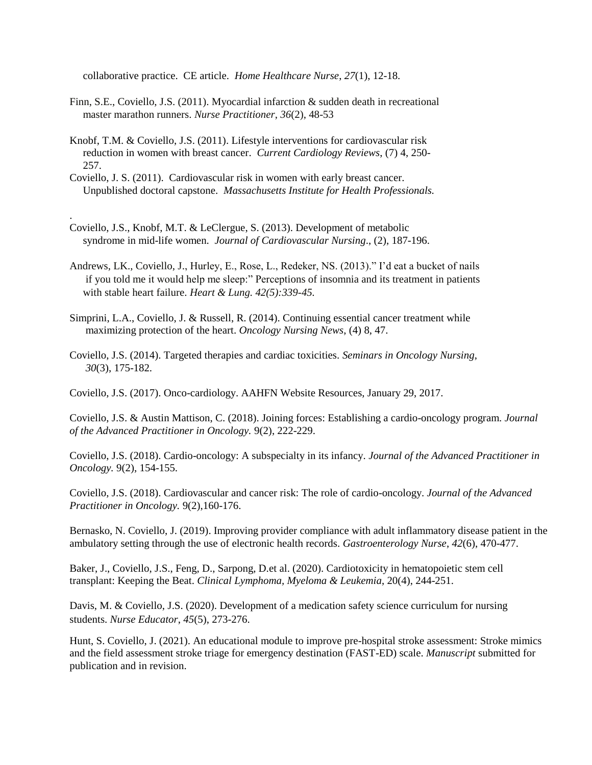collaborative practice. CE article. *Home Healthcare Nurse*, *27*(1), 12-18.

- Finn, S.E., Coviello, J.S. (2011). Myocardial infarction & sudden death in recreational master marathon runners. *Nurse Practitioner*, *36*(2), 48-53
- Knobf, T.M. & Coviello, J.S. (2011). Lifestyle interventions for cardiovascular risk reduction in women with breast cancer. *Current Cardiology Reviews*, (7) 4, 250- 257.
- Coviello, J. S. (2011). Cardiovascular risk in women with early breast cancer. Unpublished doctoral capstone. *Massachusetts Institute for Health Professionals.*
- Coviello, J.S., Knobf, M.T. & LeClergue, S. (2013). Development of metabolic syndrome in mid-life women. *Journal of Cardiovascular Nursing*., (2), 187-196.

.

- Andrews, LK., Coviello, J., Hurley, E., Rose, L., Redeker, NS. (2013)." I'd eat a bucket of nails if you told me it would help me sleep:" Perceptions of insomnia and its treatment in patients with stable heart failure. *Heart & Lung. 42(5):339-45.*
- Simprini, L.A., Coviello, J. & Russell, R. (2014). Continuing essential cancer treatment while maximizing protection of the heart. *Oncology Nursing News*, (4) 8, 47.
- Coviello, J.S. (2014). Targeted therapies and cardiac toxicities. *Seminars in Oncology Nursing*, *30*(3), 175-182.

Coviello, J.S. (2017). Onco-cardiology. AAHFN Website Resources, January 29, 2017.

Coviello, J.S. & Austin Mattison, C. (2018). Joining forces: Establishing a cardio-oncology program. *Journal of the Advanced Practitioner in Oncology.* 9(2), 222-229.

Coviello, J.S. (2018). Cardio-oncology: A subspecialty in its infancy. *Journal of the Advanced Practitioner in Oncology.* 9(2), 154-155.

Coviello, J.S. (2018). Cardiovascular and cancer risk: The role of cardio-oncology. *Journal of the Advanced Practitioner in Oncology.* 9(2),160-176.

Bernasko, N. Coviello, J. (2019). Improving provider compliance with adult inflammatory disease patient in the ambulatory setting through the use of electronic health records. *Gastroenterology Nurse*, *42*(6), 470-477.

Baker, J., Coviello, J.S., Feng, D., Sarpong, D.et al. (2020). Cardiotoxicity in hematopoietic stem cell transplant: Keeping the Beat. *Clinical Lymphoma, Myeloma & Leukemia*, 20(4), 244-251.

Davis, M. & Coviello, J.S. (2020). Development of a medication safety science curriculum for nursing students. *Nurse Educator*, *45*(5), 273-276.

Hunt, S. Coviello, J. (2021). An educational module to improve pre-hospital stroke assessment: Stroke mimics and the field assessment stroke triage for emergency destination (FAST-ED) scale. *Manuscript* submitted for publication and in revision.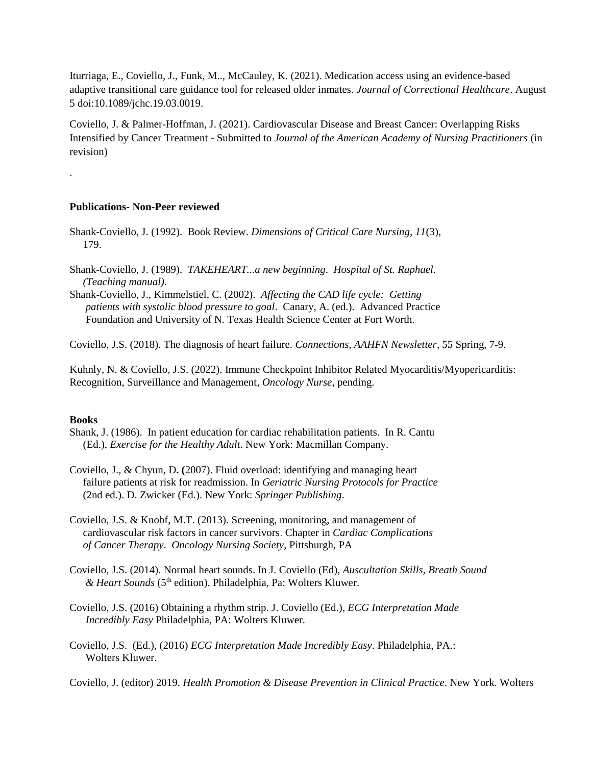Iturriaga, E., Coviello, J., Funk, M.., McCauley, K. (2021). Medication access using an evidence-based adaptive transitional care guidance tool for released older inmates. *Journal of Correctional Healthcare*. August 5 doi:10.1089/jchc.19.03.0019.

Coviello, J. & Palmer-Hoffman, J. (2021). Cardiovascular Disease and Breast Cancer: Overlapping Risks Intensified by Cancer Treatment - Submitted to *Journal of the American Academy of Nursing Practitioners* (in revision)

### **Publications- Non-Peer reviewed**

- Shank-Coviello, J. (1992). Book Review. *Dimensions of Critical Care Nursing, 11*(3), 179.
- Shank-Coviello, J. (1989). *TAKEHEART...a new beginning*. *Hospital of St. Raphael. (Teaching manual).*

Shank-Coviello, J., Kimmelstiel, C. (2002). *Affecting the CAD life cycle: Getting patients with systolic blood pressure to goal*. Canary, A. (ed.). Advanced Practice Foundation and University of N. Texas Health Science Center at Fort Worth.

Coviello, J.S. (2018). The diagnosis of heart failure. *Connections, AAHFN Newsletter*, 55 Spring, 7-9.

Kuhnly, N. & Coviello, J.S. (2022). Immune Checkpoint Inhibitor Related Myocarditis/Myopericarditis: Recognition, Surveillance and Management, *Oncology Nurse*, pending.

#### **Books**

.

- Shank, J. (1986). In patient education for cardiac rehabilitation patients. In R. Cantu (Ed.), *Exercise for the Healthy Adult*. New York: Macmillan Company.
- Coviello, J., & Chyun, D**. (**2007). Fluid overload: identifying and managing heart failure patients at risk for readmission. In *Geriatric Nursing Protocols for Practice* (2nd ed.). D. Zwicker (Ed.). New York: *Springer Publishing*.
- Coviello, J.S. & Knobf, M.T. (2013). Screening, monitoring, and management of cardiovascular risk factors in cancer survivors. Chapter in *Cardiac Complications of Cancer Therapy*. *Oncology Nursing Society*, Pittsburgh, PA
- Coviello, J.S. (2014). Normal heart sounds. In J. Coviello (Ed), *Auscultation Skills, Breath Sound & Heart Sounds* (5th edition). Philadelphia, Pa: Wolters Kluwer.
- Coviello, J.S. (2016) Obtaining a rhythm strip. J. Coviello (Ed.), *ECG Interpretation Made Incredibly Easy* Philadelphia, PA: Wolters Kluwer*.*
- Coviello, J.S. (Ed.), (2016) *ECG Interpretation Made Incredibly Easy*. Philadelphia, PA.: Wolters Kluwer.

Coviello, J. (editor) 2019. *Health Promotion & Disease Prevention in Clinical Practice*. New York. Wolters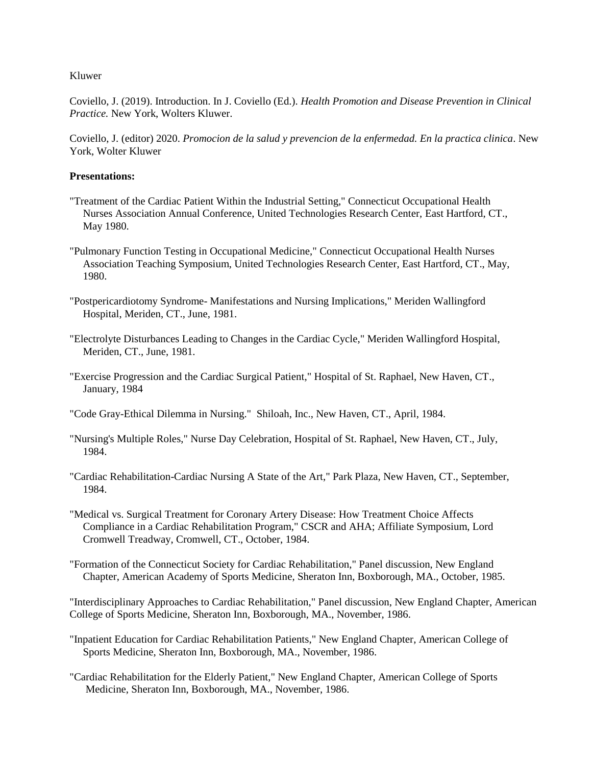Kluwer

Coviello, J. (2019). Introduction. In J. Coviello (Ed.). *Health Promotion and Disease Prevention in Clinical Practice.* New York, Wolters Kluwer.

Coviello, J. (editor) 2020. *Promocion de la salud y prevencion de la enfermedad. En la practica clinica*. New York, Wolter Kluwer

# **Presentations:**

- "Treatment of the Cardiac Patient Within the Industrial Setting," Connecticut Occupational Health Nurses Association Annual Conference, United Technologies Research Center, East Hartford, CT., May 1980.
- "Pulmonary Function Testing in Occupational Medicine," Connecticut Occupational Health Nurses Association Teaching Symposium, United Technologies Research Center, East Hartford, CT., May, 1980.
- "Postpericardiotomy Syndrome- Manifestations and Nursing Implications," Meriden Wallingford Hospital, Meriden, CT., June, 1981.
- "Electrolyte Disturbances Leading to Changes in the Cardiac Cycle," Meriden Wallingford Hospital, Meriden, CT., June, 1981.
- "Exercise Progression and the Cardiac Surgical Patient," Hospital of St. Raphael, New Haven, CT., January, 1984
- "Code Gray-Ethical Dilemma in Nursing." Shiloah, Inc., New Haven, CT., April, 1984.
- "Nursing's Multiple Roles," Nurse Day Celebration, Hospital of St. Raphael, New Haven, CT., July, 1984.
- "Cardiac Rehabilitation-Cardiac Nursing A State of the Art," Park Plaza, New Haven, CT., September, 1984.
- "Medical vs. Surgical Treatment for Coronary Artery Disease: How Treatment Choice Affects Compliance in a Cardiac Rehabilitation Program," CSCR and AHA; Affiliate Symposium, Lord Cromwell Treadway, Cromwell, CT., October, 1984.

"Formation of the Connecticut Society for Cardiac Rehabilitation," Panel discussion, New England Chapter, American Academy of Sports Medicine, Sheraton Inn, Boxborough, MA., October, 1985.

"Interdisciplinary Approaches to Cardiac Rehabilitation," Panel discussion, New England Chapter, American College of Sports Medicine, Sheraton Inn, Boxborough, MA., November, 1986.

- "Inpatient Education for Cardiac Rehabilitation Patients," New England Chapter, American College of Sports Medicine, Sheraton Inn, Boxborough, MA., November, 1986.
- "Cardiac Rehabilitation for the Elderly Patient," New England Chapter, American College of Sports Medicine, Sheraton Inn, Boxborough, MA., November, 1986.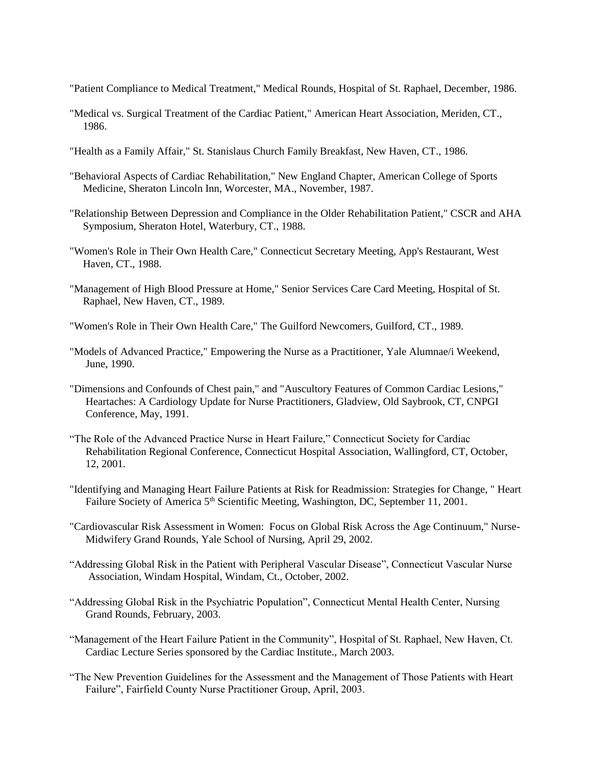- "Patient Compliance to Medical Treatment," Medical Rounds, Hospital of St. Raphael, December, 1986.
- "Medical vs. Surgical Treatment of the Cardiac Patient," American Heart Association, Meriden, CT., 1986.
- "Health as a Family Affair," St. Stanislaus Church Family Breakfast, New Haven, CT., 1986.
- "Behavioral Aspects of Cardiac Rehabilitation," New England Chapter, American College of Sports Medicine, Sheraton Lincoln Inn, Worcester, MA., November, 1987.
- "Relationship Between Depression and Compliance in the Older Rehabilitation Patient," CSCR and AHA Symposium, Sheraton Hotel, Waterbury, CT., 1988.
- "Women's Role in Their Own Health Care," Connecticut Secretary Meeting, App's Restaurant, West Haven, CT., 1988.
- "Management of High Blood Pressure at Home," Senior Services Care Card Meeting, Hospital of St. Raphael, New Haven, CT., 1989.
- "Women's Role in Their Own Health Care," The Guilford Newcomers, Guilford, CT., 1989.
- "Models of Advanced Practice," Empowering the Nurse as a Practitioner, Yale Alumnae/i Weekend, June, 1990.
- "Dimensions and Confounds of Chest pain," and "Auscultory Features of Common Cardiac Lesions," Heartaches: A Cardiology Update for Nurse Practitioners, Gladview, Old Saybrook, CT, CNPGI Conference, May, 1991.
- "The Role of the Advanced Practice Nurse in Heart Failure," Connecticut Society for Cardiac Rehabilitation Regional Conference, Connecticut Hospital Association, Wallingford, CT, October, 12, 2001.
- "Identifying and Managing Heart Failure Patients at Risk for Readmission: Strategies for Change, " Heart Failure Society of America 5<sup>th</sup> Scientific Meeting, Washington, DC, September 11, 2001.
- "Cardiovascular Risk Assessment in Women: Focus on Global Risk Across the Age Continuum," Nurse- Midwifery Grand Rounds, Yale School of Nursing, April 29, 2002.
- "Addressing Global Risk in the Patient with Peripheral Vascular Disease", Connecticut Vascular Nurse Association, Windam Hospital, Windam, Ct., October, 2002.
- "Addressing Global Risk in the Psychiatric Population", Connecticut Mental Health Center, Nursing Grand Rounds, February, 2003.
- "Management of the Heart Failure Patient in the Community", Hospital of St. Raphael, New Haven, Ct. Cardiac Lecture Series sponsored by the Cardiac Institute., March 2003.
- "The New Prevention Guidelines for the Assessment and the Management of Those Patients with Heart Failure", Fairfield County Nurse Practitioner Group, April, 2003.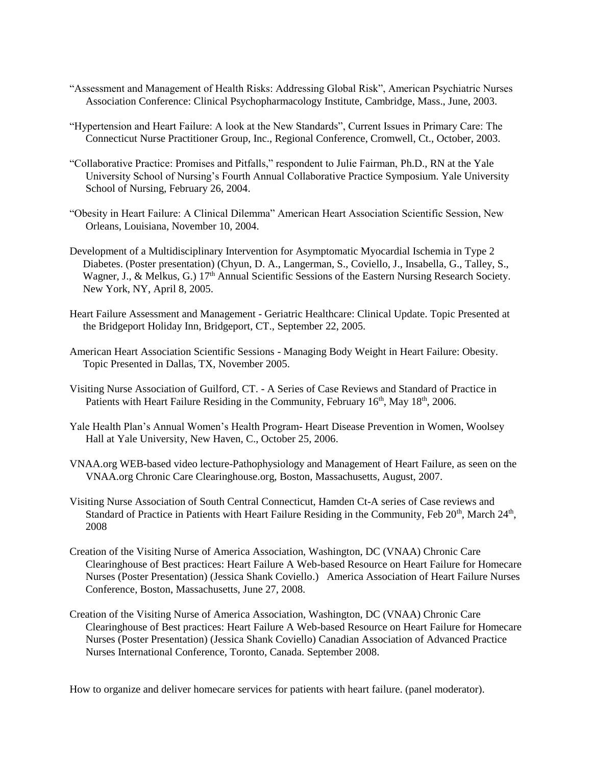- "Assessment and Management of Health Risks: Addressing Global Risk", American Psychiatric Nurses Association Conference: Clinical Psychopharmacology Institute, Cambridge, Mass., June, 2003.
- "Hypertension and Heart Failure: A look at the New Standards", Current Issues in Primary Care: The Connecticut Nurse Practitioner Group, Inc., Regional Conference, Cromwell, Ct., October, 2003.
- "Collaborative Practice: Promises and Pitfalls," respondent to Julie Fairman, Ph.D., RN at the Yale University School of Nursing's Fourth Annual Collaborative Practice Symposium. Yale University School of Nursing, February 26, 2004.
- "Obesity in Heart Failure: A Clinical Dilemma" American Heart Association Scientific Session, New Orleans, Louisiana, November 10, 2004.
- Development of a Multidisciplinary Intervention for Asymptomatic Myocardial Ischemia in Type 2 Diabetes. (Poster presentation) (Chyun, D. A., Langerman, S., Coviello, J., Insabella, G., Talley, S., Wagner, J., & Melkus, G.) 17<sup>th</sup> Annual Scientific Sessions of the Eastern Nursing Research Society. New York, NY, April 8, 2005.
- Heart Failure Assessment and Management Geriatric Healthcare: Clinical Update. Topic Presented at the Bridgeport Holiday Inn, Bridgeport, CT., September 22, 2005.
- American Heart Association Scientific Sessions Managing Body Weight in Heart Failure: Obesity. Topic Presented in Dallas, TX, November 2005.
- Visiting Nurse Association of Guilford, CT. A Series of Case Reviews and Standard of Practice in Patients with Heart Failure Residing in the Community, February 16<sup>th</sup>, May 18<sup>th</sup>, 2006.
- Yale Health Plan's Annual Women's Health Program- Heart Disease Prevention in Women, Woolsey Hall at Yale University, New Haven, C., October 25, 2006.
- VNAA.org WEB-based video lecture-Pathophysiology and Management of Heart Failure, as seen on the VNAA.org Chronic Care Clearinghouse.org, Boston, Massachusetts, August, 2007.
- Visiting Nurse Association of South Central Connecticut, Hamden Ct-A series of Case reviews and Standard of Practice in Patients with Heart Failure Residing in the Community, Feb 20<sup>th</sup>, March 24<sup>th</sup>, 2008
- Creation of the Visiting Nurse of America Association, Washington, DC (VNAA) Chronic Care Clearinghouse of Best practices: Heart Failure A Web-based Resource on Heart Failure for Homecare Nurses (Poster Presentation) (Jessica Shank Coviello.) America Association of Heart Failure Nurses Conference, Boston, Massachusetts, June 27, 2008.
- Creation of the Visiting Nurse of America Association, Washington, DC (VNAA) Chronic Care Clearinghouse of Best practices: Heart Failure A Web-based Resource on Heart Failure for Homecare Nurses (Poster Presentation) (Jessica Shank Coviello) Canadian Association of Advanced Practice Nurses International Conference, Toronto, Canada. September 2008.

How to organize and deliver homecare services for patients with heart failure. (panel moderator).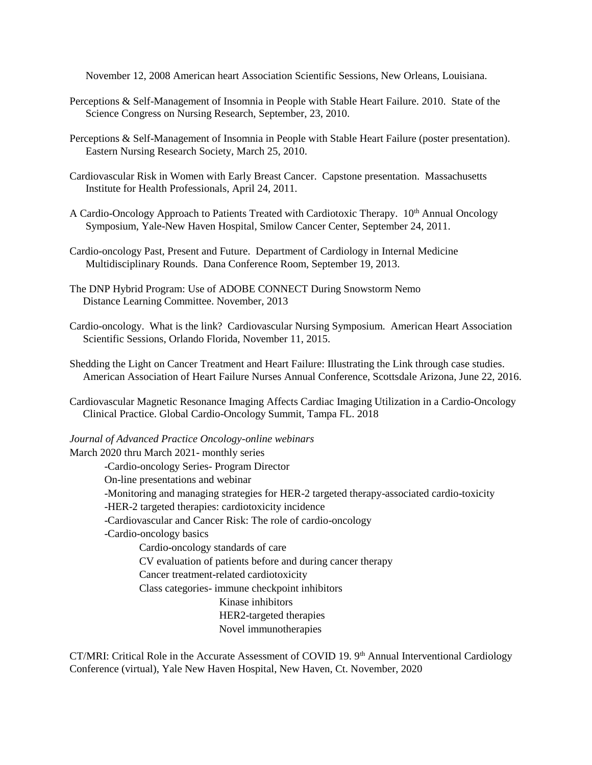November 12, 2008 American heart Association Scientific Sessions, New Orleans, Louisiana.

- Perceptions & Self-Management of Insomnia in People with Stable Heart Failure. 2010. State of the Science Congress on Nursing Research, September, 23, 2010.
- Perceptions & Self-Management of Insomnia in People with Stable Heart Failure (poster presentation). Eastern Nursing Research Society, March 25, 2010.
- Cardiovascular Risk in Women with Early Breast Cancer. Capstone presentation. Massachusetts Institute for Health Professionals, April 24, 2011.
- A Cardio-Oncology Approach to Patients Treated with Cardiotoxic Therapy. 10<sup>th</sup> Annual Oncology Symposium, Yale-New Haven Hospital, Smilow Cancer Center, September 24, 2011.
- Cardio-oncology Past, Present and Future. Department of Cardiology in Internal Medicine Multidisciplinary Rounds. Dana Conference Room, September 19, 2013.
- The DNP Hybrid Program: Use of ADOBE CONNECT During Snowstorm Nemo Distance Learning Committee. November, 2013
- Cardio-oncology. What is the link? Cardiovascular Nursing Symposium. American Heart Association Scientific Sessions, Orlando Florida, November 11, 2015.
- Shedding the Light on Cancer Treatment and Heart Failure: Illustrating the Link through case studies. American Association of Heart Failure Nurses Annual Conference, Scottsdale Arizona, June 22, 2016.
- Cardiovascular Magnetic Resonance Imaging Affects Cardiac Imaging Utilization in a Cardio-Oncology Clinical Practice. Global Cardio-Oncology Summit, Tampa FL. 2018

#### *Journal of Advanced Practice Oncology-online webinars*

March 2020 thru March 2021- monthly series -Cardio-oncology Series- Program Director On-line presentations and webinar -Monitoring and managing strategies for HER-2 targeted therapy-associated cardio-toxicity -HER-2 targeted therapies: cardiotoxicity incidence -Cardiovascular and Cancer Risk: The role of cardio-oncology -Cardio-oncology basics Cardio-oncology standards of care CV evaluation of patients before and during cancer therapy Cancer treatment-related cardiotoxicity Class categories- immune checkpoint inhibitors Kinase inhibitors HER2-targeted therapies Novel immunotherapies

CT/MRI: Critical Role in the Accurate Assessment of COVID 19. 9<sup>th</sup> Annual Interventional Cardiology Conference (virtual), Yale New Haven Hospital, New Haven, Ct. November, 2020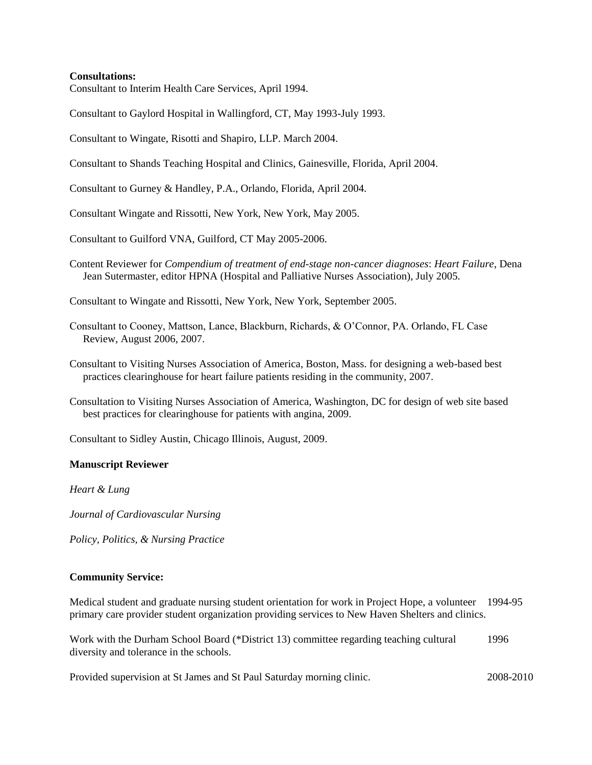# **Consultations:**

Consultant to Interim Health Care Services, April 1994.

Consultant to Gaylord Hospital in Wallingford, CT, May 1993-July 1993.

Consultant to Wingate, Risotti and Shapiro, LLP. March 2004.

Consultant to Shands Teaching Hospital and Clinics, Gainesville, Florida, April 2004.

Consultant to Gurney & Handley, P.A., Orlando, Florida, April 2004.

Consultant Wingate and Rissotti, New York, New York, May 2005.

Consultant to Guilford VNA, Guilford, CT May 2005-2006.

Content Reviewer for *Compendium of treatment of end-stage non-cancer diagnoses*: *Heart Failure*, Dena Jean Sutermaster, editor HPNA (Hospital and Palliative Nurses Association), July 2005.

Consultant to Wingate and Rissotti, New York, New York, September 2005.

- Consultant to Cooney, Mattson, Lance, Blackburn, Richards, & O'Connor, PA. Orlando, FL Case Review, August 2006, 2007.
- Consultant to Visiting Nurses Association of America, Boston, Mass. for designing a web-based best practices clearinghouse for heart failure patients residing in the community, 2007.
- Consultation to Visiting Nurses Association of America, Washington, DC for design of web site based best practices for clearinghouse for patients with angina, 2009.

Consultant to Sidley Austin, Chicago Illinois, August, 2009.

#### **Manuscript Reviewer**

*Heart & Lung*

*Journal of Cardiovascular Nursing*

*Policy, Politics, & Nursing Practice*

# **Community Service:**

Medical student and graduate nursing student orientation for work in Project Hope, a volunteer 1994-95 primary care provider student organization providing services to New Haven Shelters and clinics.

Work with the Durham School Board (\*District 13) committee regarding teaching cultural 1996 diversity and tolerance in the schools.

Provided supervision at St James and St Paul Saturday morning clinic. 2008-2010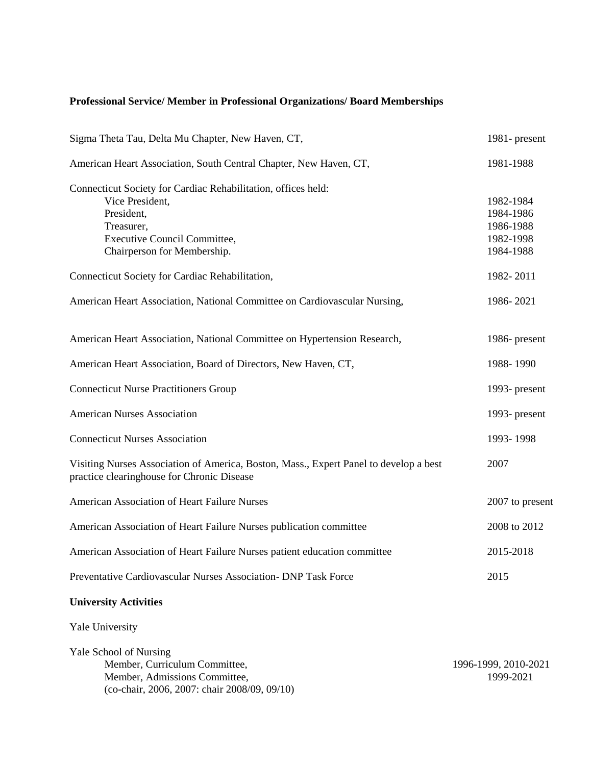# **Professional Service/ Member in Professional Organizations/ Board Memberships**

| Sigma Theta Tau, Delta Mu Chapter, New Haven, CT,                                                                                                                           | 1981-present                                                  |
|-----------------------------------------------------------------------------------------------------------------------------------------------------------------------------|---------------------------------------------------------------|
| American Heart Association, South Central Chapter, New Haven, CT,                                                                                                           | 1981-1988                                                     |
| Connecticut Society for Cardiac Rehabilitation, offices held:<br>Vice President,<br>President,<br>Treasurer,<br>Executive Council Committee,<br>Chairperson for Membership. | 1982-1984<br>1984-1986<br>1986-1988<br>1982-1998<br>1984-1988 |
| Connecticut Society for Cardiac Rehabilitation,                                                                                                                             | 1982-2011                                                     |
| American Heart Association, National Committee on Cardiovascular Nursing,                                                                                                   | 1986-2021                                                     |
| American Heart Association, National Committee on Hypertension Research,                                                                                                    | 1986- present                                                 |
| American Heart Association, Board of Directors, New Haven, CT,                                                                                                              | 1988-1990                                                     |
| <b>Connecticut Nurse Practitioners Group</b>                                                                                                                                | 1993- present                                                 |
| <b>American Nurses Association</b>                                                                                                                                          | 1993- present                                                 |
| <b>Connecticut Nurses Association</b>                                                                                                                                       | 1993-1998                                                     |
| Visiting Nurses Association of America, Boston, Mass., Expert Panel to develop a best<br>practice clearinghouse for Chronic Disease                                         | 2007                                                          |
| American Association of Heart Failure Nurses                                                                                                                                | 2007 to present                                               |
| American Association of Heart Failure Nurses publication committee                                                                                                          | 2008 to 2012                                                  |
| American Association of Heart Failure Nurses patient education committee                                                                                                    | 2015-2018                                                     |
| Preventative Cardiovascular Nurses Association- DNP Task Force                                                                                                              | 2015                                                          |
| <b>University Activities</b>                                                                                                                                                |                                                               |

Yale University

| Yale School of Nursing                           |  |
|--------------------------------------------------|--|
| Member, Curriculum Committee,                    |  |
| Member, Admissions Committee.                    |  |
| $(co-chair, 2006, 2007$ : chair $2008/09, 09/10$ |  |
|                                                  |  |

1996-1999, 2010-2021 1999-2021